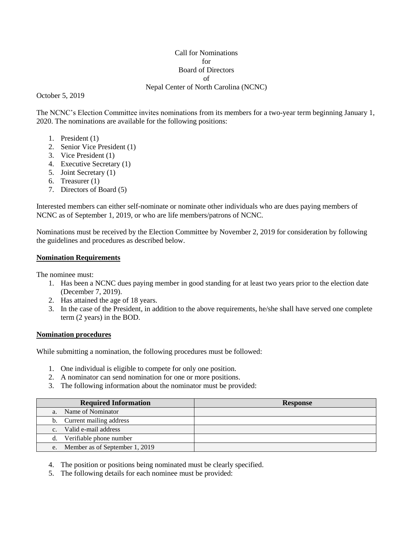## Call for Nominations for Board of Directors of Nepal Center of North Carolina (NCNC)

October 5, 2019

The NCNC's Election Committee invites nominations from its members for a two-year term beginning January 1, 2020. The nominations are available for the following positions:

- 1. President (1)
- 2. Senior Vice President (1)
- 3. Vice President (1)
- 4. Executive Secretary (1)
- 5. Joint Secretary (1)
- 6. Treasurer (1)
- 7. Directors of Board (5)

Interested members can either self-nominate or nominate other individuals who are dues paying members of NCNC as of September 1, 2019, or who are life members/patrons of NCNC.

Nominations must be received by the Election Committee by November 2, 2019 for consideration by following the guidelines and procedures as described below.

## **Nomination Requirements**

The nominee must:

- 1. Has been a NCNC dues paying member in good standing for at least two years prior to the election date (December 7, 2019).
- 2. Has attained the age of 18 years.
- 3. In the case of the President, in addition to the above requirements, he/she shall have served one complete term (2 years) in the BOD.

## **Nomination procedures**

While submitting a nomination, the following procedures must be followed:

- 1. One individual is eligible to compete for only one position.
- 2. A nominator can send nomination for one or more positions.
- 3. The following information about the nominator must be provided:

| <b>Required Information</b>            | <b>Response</b> |
|----------------------------------------|-----------------|
| Name of Nominator<br>a.                |                 |
| Current mailing address<br>b.          |                 |
| Valid e-mail address<br>C <sub>1</sub> |                 |
| d. Verifiable phone number             |                 |
| e. Member as of September 1, 2019      |                 |

4. The position or positions being nominated must be clearly specified.

5. The following details for each nominee must be provided: